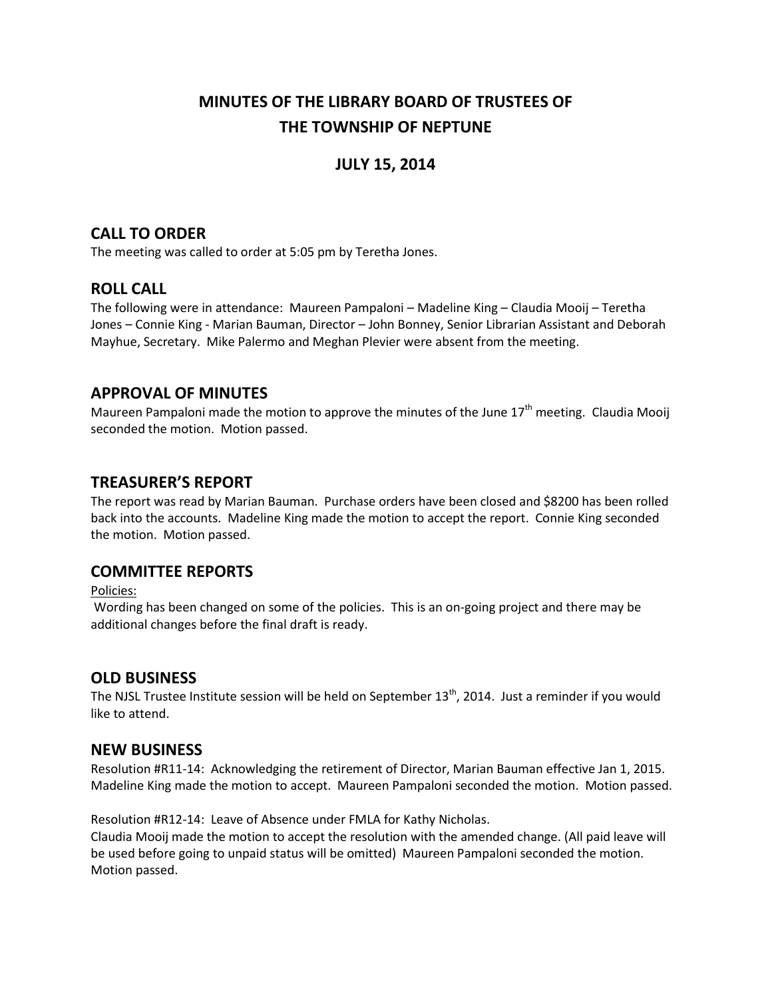# **MINUTES OF THE LIBRARY BOARD OF TRUSTEES OF THE TOWNSHIP OF NEPTUNE**

## **JULY 15, 2014**

### **CALL TO ORDER**

The meeting was called to order at 5:05 pm by Teretha Jones.

### **ROLL CALL**

The following were in attendance: Maureen Pampaloni – Madeline King – Claudia Mooij – Teretha Jones – Connie King - Marian Bauman, Director – John Bonney, Senior Librarian Assistant and Deborah Mayhue, Secretary. Mike Palermo and Meghan Plevier were absent from the meeting.

### **APPROVAL OF MINUTES**

Maureen Pampaloni made the motion to approve the minutes of the June  $17<sup>th</sup>$  meeting. Claudia Mooij seconded the motion. Motion passed.

### **TREASURER'S REPORT**

The report was read by Marian Bauman. Purchase orders have been closed and \$8200 has been rolled back into the accounts. Madeline King made the motion to accept the report. Connie King seconded the motion. Motion passed.

### **COMMITTEE REPORTS**

Policies:

Wording has been changed on some of the policies. This is an on-going project and there may be additional changes before the final draft is ready.

### **OLD BUSINESS**

The NJSL Trustee Institute session will be held on September  $13<sup>th</sup>$ , 2014. Just a reminder if you would like to attend.

### **NEW BUSINESS**

Resolution #R11-14: Acknowledging the retirement of Director, Marian Bauman effective Jan 1, 2015. Madeline King made the motion to accept. Maureen Pampaloni seconded the motion. Motion passed.

Resolution #R12-14: Leave of Absence under FMLA for Kathy Nicholas.

Claudia Mooij made the motion to accept the resolution with the amended change. (All paid leave will be used before going to unpaid status will be omitted) Maureen Pampaloni seconded the motion. Motion passed.